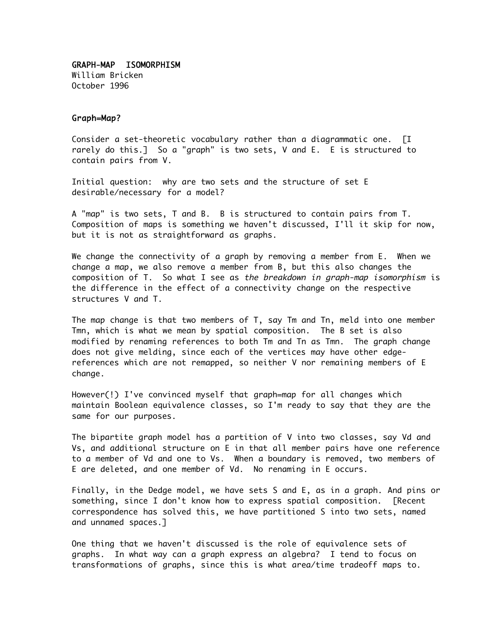GRAPH-MAP ISOMORPHISM William Bricken October 1996

#### Graph=Map?

Consider a set-theoretic vocabulary rather than a diagrammatic one. [I rarely do this.] So a "graph" is two sets, V and E. E is structured to contain pairs from V.

Initial question: why are two sets and the structure of set E desirable/necessary for a model?

A "map" is two sets, T and B. B is structured to contain pairs from T. Composition of maps is something we haven't discussed, I'll it skip for now, but it is not as straightforward as graphs.

We change the connectivity of a graph by removing a member from E. When we change a map, we also remove a member from B, but this also changes the composition of T. So what I see as the breakdown in graph-map isomorphism is the difference in the effect of a connectivity change on the respective structures V and T.

The map change is that two members of T, say Tm and Tn, meld into one member Tmn, which is what we mean by spatial composition. The B set is also modified by renaming references to both Tm and Tn as Tmn. The graph change does not give melding, since each of the vertices may have other edgereferences which are not remapped, so neither V nor remaining members of E change.

However(!) I've convinced myself that graph=map for all changes which maintain Boolean equivalence classes, so I'm ready to say that they are the same for our purposes.

The bipartite graph model has a partition of V into two classes, say Vd and Vs, and additional structure on E in that all member pairs have one reference to a member of Vd and one to Vs. When a boundary is removed, two members of E are deleted, and one member of Vd. No renaming in E occurs.

Finally, in the Dedge model, we have sets S and E, as in a graph. And pins or something, since I don't know how to express spatial composition. [Recent correspondence has solved this, we have partitioned S into two sets, named and unnamed spaces.]

One thing that we haven't discussed is the role of equivalence sets of graphs. In what way can a graph express an algebra? I tend to focus on transformations of graphs, since this is what area/time tradeoff maps to.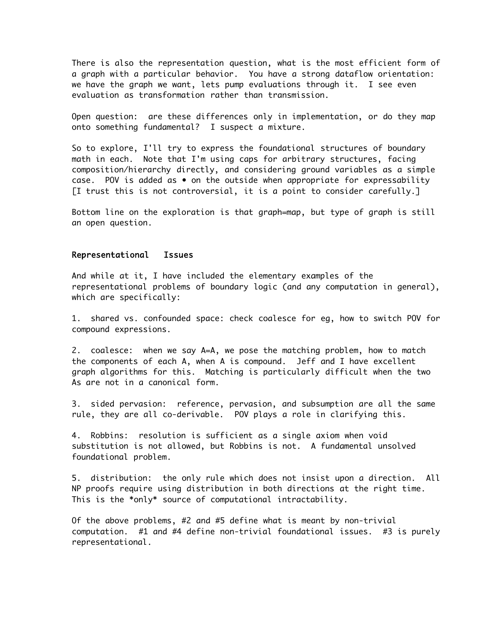There is also the representation question, what is the most efficient form of a graph with a particular behavior. You have a strong dataflow orientation: we have the graph we want, lets pump evaluations through it. I see even evaluation as transformation rather than transmission.

Open question: are these differences only in implementation, or do they map onto something fundamental? I suspect a mixture.

So to explore, I'll try to express the foundational structures of boundary math in each. Note that I'm using caps for arbitrary structures, facing composition/hierarchy directly, and considering ground variables as a simple case. POV is added as • on the outside when appropriate for expressability [I trust this is not controversial, it is a point to consider carefully.]

Bottom line on the exploration is that graph=map, but type of graph is still an open question.

#### Representational Issues

And while at it, I have included the elementary examples of the representational problems of boundary logic (and any computation in general), which are specifically:

1. shared vs. confounded space: check coalesce for eg, how to switch POV for compound expressions.

2. coalesce: when we say A=A, we pose the matching problem, how to match the components of each A, when A is compound. Jeff and I have excellent graph algorithms for this. Matching is particularly difficult when the two As are not in a canonical form.

3. sided pervasion: reference, pervasion, and subsumption are all the same rule, they are all co-derivable. POV plays a role in clarifying this.

4. Robbins: resolution is sufficient as a single axiom when void substitution is not allowed, but Robbins is not. A fundamental unsolved foundational problem.

5. distribution: the only rule which does not insist upon a direction. All NP proofs require using distribution in both directions at the right time. This is the \*only\* source of computational intractability.

Of the above problems, #2 and #5 define what is meant by non-trivial computation. #1 and #4 define non-trivial foundational issues. #3 is purely representational.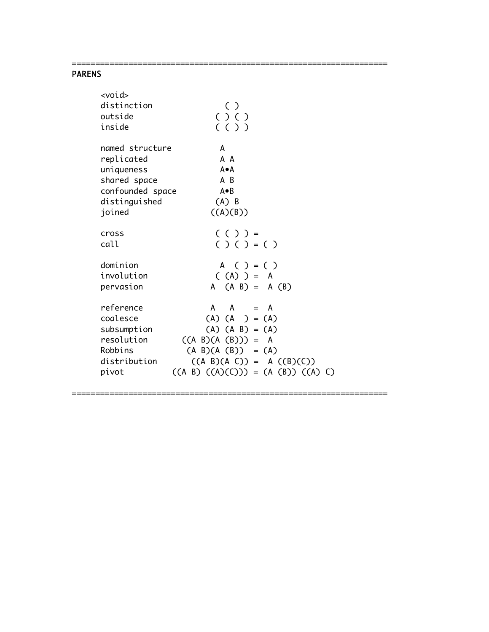# PARENS

| <void><br/>distinction<br/>outside<br/>inside</void>                                                       | ( )<br>$( )$ $( )$<br>(()                                                                                                                                                             |
|------------------------------------------------------------------------------------------------------------|---------------------------------------------------------------------------------------------------------------------------------------------------------------------------------------|
| named structure<br>replicated<br>uniqueness<br>shared space<br>confounded space<br>distinguished<br>joined | A<br>A A<br>A∙A<br>A B<br>A●B<br>$(A)$ B<br>((A)(B))                                                                                                                                  |
| cross<br>call                                                                                              | $( () ) =$<br>( ) ( ) = ( )                                                                                                                                                           |
| dominion<br>involution<br>pervasion                                                                        | A ( ) = ( )<br>$(A)$ = A<br>$A (A B) = A (B)$                                                                                                                                         |
| reference<br>coalesce<br>subsumption<br>resolution<br>Robbins<br>distribution<br>pivot                     | A<br>$A = A$<br>$(A) (A) = (A)$<br>$(A) (A B) = (A)$<br>$((A \ B)(A \ (B))) = A$<br>$(A B)(A (B)) = (A)$<br>$((A \ B)(A \ C)) = A ((B)(C))$<br>$((A \ B) ((A)(C))) = (A (B)) ((A) C)$ |

===================================================================

===================================================================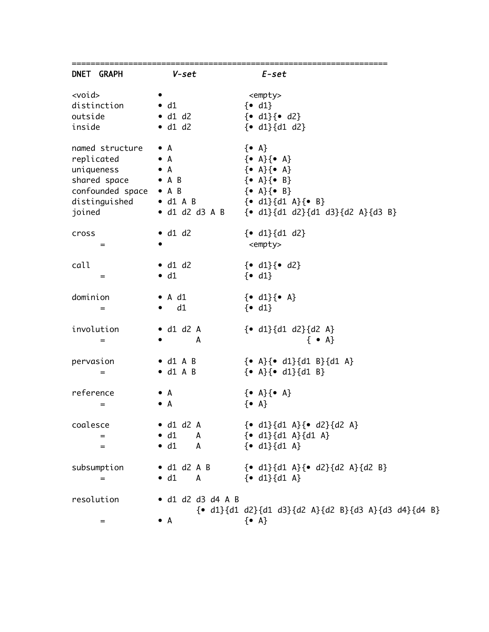| DNET GRAPH                                                                                                | V-set                                                                  | E-set                                                                                                                                                                                                                                                                                                                                                                                                             |
|-----------------------------------------------------------------------------------------------------------|------------------------------------------------------------------------|-------------------------------------------------------------------------------------------------------------------------------------------------------------------------------------------------------------------------------------------------------------------------------------------------------------------------------------------------------------------------------------------------------------------|
| <void><br/>distinction<br/>outside<br/>inside</void>                                                      | $\bullet$ d1<br>$\bullet$ d1 d2<br>$\bullet$ d1 d2                     | <empty><br/><math>\{ \bullet \ \text{d1} \}</math><br/><math>\{ \bullet \ d1 \} \{ \bullet \ d2 \}</math><br/><math>{• d1}{d1 d2}</math></empty>                                                                                                                                                                                                                                                                  |
| named structure • A<br>replicated<br>uniqueness<br>shared space • A B<br>confounded space • A B<br>joined | $\bullet$ A<br>$\bullet$ A                                             | $\{ \bullet \; A \}$<br>$\{ \bullet \ \mathsf{A} \} \{ \bullet \ \mathsf{A} \}$<br>$\{ \bullet \ \mathsf{A} \} \{ \bullet \ \mathsf{A} \}$<br>$\{ \bullet \ \mathsf{A} \} \{ \bullet \ \mathsf{B} \}$<br>$\{ \bullet \ \mathsf{A} \} \{ \bullet \ \mathsf{B} \}$<br>distinguished $\bullet$ d1 A B $\{ \bullet$ d1} $\{d1 \text{ A}\}\{ \bullet \text{ B}\}$<br>• d1 d2 d3 A B ${e$ d1}{d1 d2}{d1 d3}{d2 A}{d3 B} |
| cross<br>$=$                                                                                              | $\bullet$ d1 d2                                                        | $\{ \bullet \text{ d1} \} \{ d1 \text{ d2} \}$<br><empty></empty>                                                                                                                                                                                                                                                                                                                                                 |
| call<br>$=$                                                                                               | $\bullet$ d1 d2<br>$\bullet$ d1                                        | $\{ \bullet \text{ d1} \} \{ \bullet \text{ d2} \}$<br>$\{ \bullet \, \text{d1} \}$                                                                                                                                                                                                                                                                                                                               |
| dominion<br>$=$                                                                                           | $\bullet$ A d1<br>$\bullet$ d1                                         | $\{ \bullet \ d1 \} \{ \bullet \ A \}$<br>$\{ \bullet \, \text{d1} \}$                                                                                                                                                                                                                                                                                                                                            |
| involution<br>$=$                                                                                         | $\bullet$ d1 d2 A<br>A                                                 | $\{ \bullet \text{ d1} \} \{ d1 \text{ d2} \} \{ d2 \text{ A} \}$<br>$\{ \bullet A \}$                                                                                                                                                                                                                                                                                                                            |
| pervasion<br>$=$                                                                                          | $\bullet$ d1 A B<br>$\bullet$ d1 A B                                   | $\{ \bullet \ \mathsf{A} \} \{ \bullet \ \mathsf{d1} \} \{ \mathsf{d1} \ \mathsf{B} \} \{ \mathsf{d1} \ \mathsf{A} \}$<br>$\{ \bullet \; A \} \{ \bullet \; d1 \} \{ d1 \; B \}$                                                                                                                                                                                                                                  |
| reference<br>$=$                                                                                          | $\bullet$ A<br>$\bullet$ A                                             | $\{ \bullet \ \mathsf{A} \} \{ \bullet \ \mathsf{A} \}$<br>$\{ \bullet \; A \}$                                                                                                                                                                                                                                                                                                                                   |
| coalesce<br>$=$<br>$=$                                                                                    | $\bullet$ d1 d2 A<br>$\bullet$ d1<br>$\mathsf{A}$<br>$\bullet$ d1<br>A | $\{ \bullet \text{ d1} \} \{ d1 \text{ A} \} \{ \bullet \text{ d2} \} \{ d2 \text{ A} \}$<br>$\{ \bullet \text{ d1} \} \{ d1 \text{ A} \} \{ d1 \text{ A} \}$<br>$\{ \bullet \text{ d1} \} \{ d1 \text{ A} \}$                                                                                                                                                                                                    |
| subsumption<br>$=$                                                                                        | $\bullet$ d1 d2 A B<br>$\bullet$ d1<br>A                               | $\{ \bullet \text{ d1} \} \{ d1 \text{ A} \} \{ \bullet \text{ d2} \} \{ d2 \text{ A} \} \{ d2 \text{ B} \}$<br>$\{ \bullet \text{ d1} \} \{ \text{d1 A} \}$                                                                                                                                                                                                                                                      |
| resolution                                                                                                | $\bullet$ d1 d2 d3 d4 A B                                              | $\{ \bullet \text{ d1} \} \{ d1 \text{ d2} \} \{ d1 \text{ d3} \} \{ d2 \text{ A} \} \{ d2 \text{ B} \} \{ d3 \text{ A} \} \{ d3 \text{ d4} \} \{ d4 \text{ B} \}$                                                                                                                                                                                                                                                |
| $=$                                                                                                       | • А                                                                    | $\{ \bullet \; A \}$                                                                                                                                                                                                                                                                                                                                                                                              |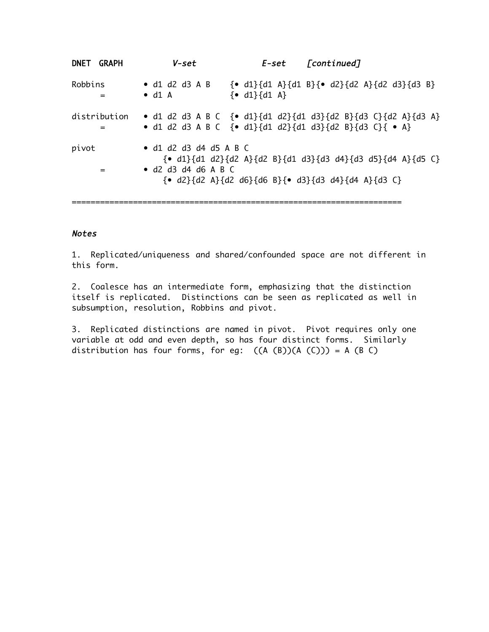| DNET GRAPH        | V-set                                                         | E-set                                         | [continued]                                                                                                                                                                                                                                                                                                       |
|-------------------|---------------------------------------------------------------|-----------------------------------------------|-------------------------------------------------------------------------------------------------------------------------------------------------------------------------------------------------------------------------------------------------------------------------------------------------------------------|
| Robbins<br>=      | $\bullet$ d1 d2 d3 A B<br>$\bullet$ d1 A                      | $\{ \bullet \text{ d1} \} \{ d1 \text{ A} \}$ | { <b>•</b> d1}{d1 A}{d1 B}{ <b>•</b> d2}{d2 A}{d2 d3}{d3 B}                                                                                                                                                                                                                                                       |
| distribution<br>= |                                                               |                                               | • d1 d2 d3 A B C $\{$ • d1 $\{$ d1 d2 $\{$ d1 d3 $\{$ d2 B $\}$ $\{$ d3 C $\}$ $\{$ d2 A $\}$ $\{$ d3 A $\}$<br>• d1 d2 d3 A B C {• d1}{d1 d2}{d1 d3}{d2 B}{d3 C}{ • A}                                                                                                                                           |
| pivot<br>=        | $\bullet$ d1 d2 d3 d4 d5 A B C<br>$\bullet$ d2 d3 d4 d6 A B C |                                               | $\{ \bullet \text{ d1} \} \{ d1 \text{ d2} \} \{ d2 \text{ A} \} \{ d2 \text{ B} \} \{ d1 \text{ d3} \} \{ d3 \text{ d4} \} \{ d3 \text{ d5} \} \{ d4 \text{ A} \} \{ d5 \text{ C} \}$<br>$\{ \bullet \ d2 \} \{ d2 \ A \} \{ d2 \ d6 \} \{ d6 \ B \} \{ \bullet \ d3 \} \{ d3 \ d4 \} \{ d4 \ A \} \{ d3 \ C \}$ |

## Notes

1. Replicated/uniqueness and shared/confounded space are not different in this form.

2. Coalesce has an intermediate form, emphasizing that the distinction itself is replicated. Distinctions can be seen as replicated as well in subsumption, resolution, Robbins and pivot.

3. Replicated distinctions are named in pivot. Pivot requires only one variable at odd and even depth, so has four distinct forms. Similarly distribution has four forms, for eg:  $((A (B))(A (C))) = A (B C)$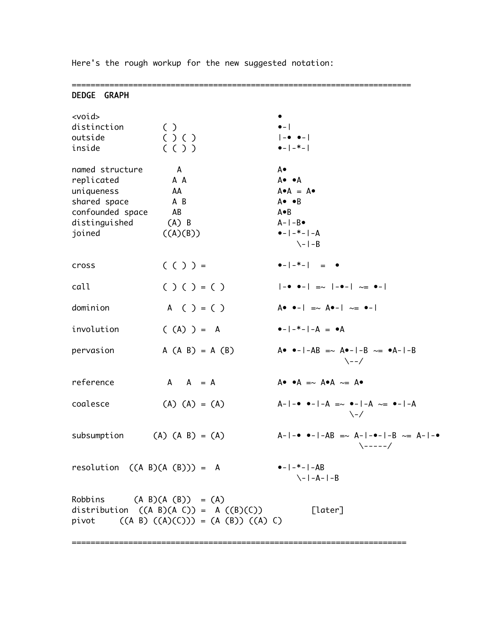| $\bullet -  -* -   - = \bullet$                                                       |
|---------------------------------------------------------------------------------------|
| $ -0$ 0- $ -\infty$ $ -\bullet- $ $\infty$ 0-                                         |
| $A \bullet \bullet -   = \sim A \bullet -   \sim = \bullet -  $                       |
| $\bullet -  -* -  -A  = \bullet A$                                                    |
| $A \bullet \bullet -  -AB == A \bullet -  -B \sim = \bullet A -  -B$<br>$\lambda$ --/ |
| $A \bullet \bullet A \implies A \bullet A \sim = A \bullet$                           |
| $A- -••- -A  = \sim •- -A \sim = •- -A$<br>\-/                                        |
| $A- -••- -AB == A- -•- -B \sim = A- -•$<br>$\-\ - - - /$                              |
| $\bullet -  -* -  -AB$<br>$\{-1 - A - 1 - B$                                          |
| [later]                                                                               |
|                                                                                       |

Here's the rough workup for the new suggested notation: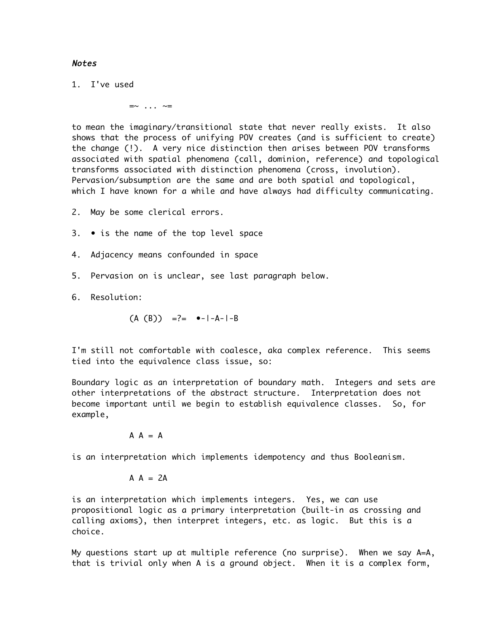## Notes

1. I've used

 $=$   $\sim$  ...  $\sim$  =

to mean the imaginary/transitional state that never really exists. It also shows that the process of unifying POV creates (and is sufficient to create) the change (!). A very nice distinction then arises between POV transforms associated with spatial phenomena (call, dominion, reference) and topological transforms associated with distinction phenomena (cross, involution). Pervasion/subsumption are the same and are both spatial and topological, which I have known for a while and have always had difficulty communicating.

- 2. May be some clerical errors.
- 3. is the name of the top level space
- 4. Adjacency means confounded in space
- 5. Pervasion on is unclear, see last paragraph below.
- 6. Resolution:

 $(A (B))$  =?=  $\bullet - |-A-|-B$ 

I'm still not comfortable with coalesce, aka complex reference. This seems tied into the equivalence class issue, so:

Boundary logic as an interpretation of boundary math. Integers and sets are other interpretations of the abstract structure. Interpretation does not become important until we begin to establish equivalence classes. So, for example,

$$
A = A
$$

is an interpretation which implements idempotency and thus Booleanism.

 $A A = 2A$ 

is an interpretation which implements integers. Yes, we can use propositional logic as a primary interpretation (built-in as crossing and calling axioms), then interpret integers, etc. as logic. But this is a choice.

My questions start up at multiple reference (no surprise). When we say A=A, that is trivial only when A is a ground object. When it is a complex form,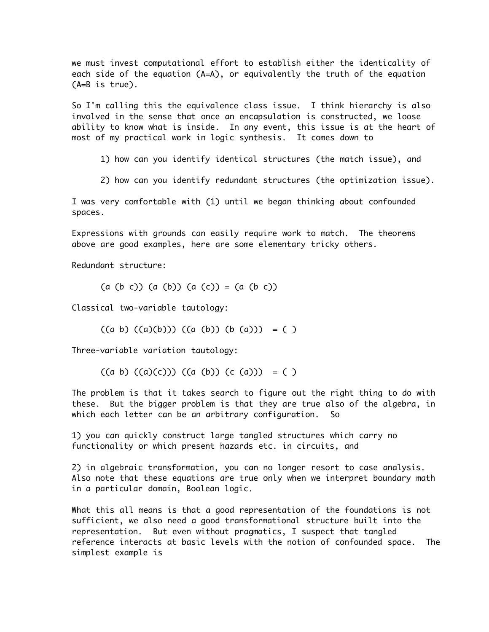we must invest computational effort to establish either the identicality of each side of the equation (A=A), or equivalently the truth of the equation (A=B is true).

So I'm calling this the equivalence class issue. I think hierarchy is also involved in the sense that once an encapsulation is constructed, we loose ability to know what is inside. In any event, this issue is at the heart of most of my practical work in logic synthesis. It comes down to

1) how can you identify identical structures (the match issue), and

2) how can you identify redundant structures (the optimization issue).

I was very comfortable with (1) until we began thinking about confounded spaces.

Expressions with grounds can easily require work to match. The theorems above are good examples, here are some elementary tricky others.

Redundant structure:

 $(a (b c)) (a (b)) (a (c)) = (a (b c))$ 

Classical two-variable tautology:

 $((a \ b) ((a)(b))) ((a (b)) (b (a))) = ()$ 

Three-variable variation tautology:

 $((a \ b) ((a)(c))) ((a (b)) (c (a))) = ()$ 

The problem is that it takes search to figure out the right thing to do with these. But the bigger problem is that they are true also of the algebra, in which each letter can be an arbitrary configuration. So

1) you can quickly construct large tangled structures which carry no functionality or which present hazards etc. in circuits, and

2) in algebraic transformation, you can no longer resort to case analysis. Also note that these equations are true only when we interpret boundary math in a particular domain, Boolean logic.

What this all means is that a good representation of the foundations is not sufficient, we also need a good transformational structure built into the representation. But even without pragmatics, I suspect that tangled reference interacts at basic levels with the notion of confounded space. The simplest example is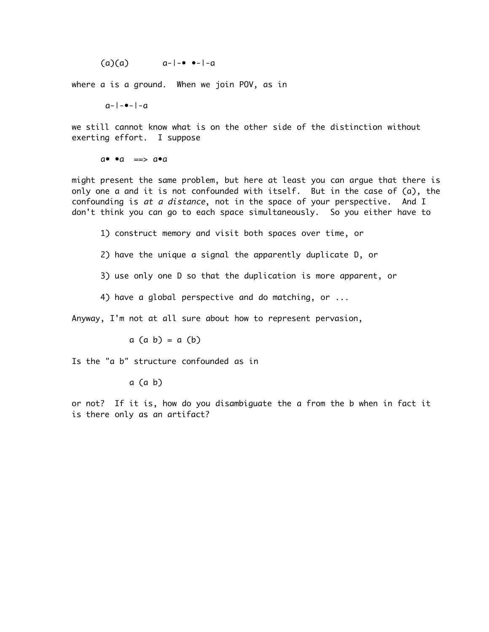$(a)(a)$   $a-1-e$   $e-1-a$ 

where a is a ground. When we join POV, as in

 $a-|-\bullet-|-a$ 

we still cannot know what is on the other side of the distinction without exerting effort. I suppose

 $a \bullet \bullet a \implies a \bullet a$ 

might present the same problem, but here at least you can argue that there is only one a and it is not confounded with itself. But in the case of (a), the confounding is at a distance, not in the space of your perspective. And I don't think you can go to each space simultaneously. So you either have to

1) construct memory and visit both spaces over time, or

2) have the unique a signal the apparently duplicate D, or

3) use only one D so that the duplication is more apparent, or

4) have a global perspective and do matching, or ...

Anyway, I'm not at all sure about how to represent pervasion,

 $a$   $(a b) = a (b)$ 

Is the "a b" structure confounded as in

a (a b)

or not? If it is, how do you disambiguate the a from the b when in fact it is there only as an artifact?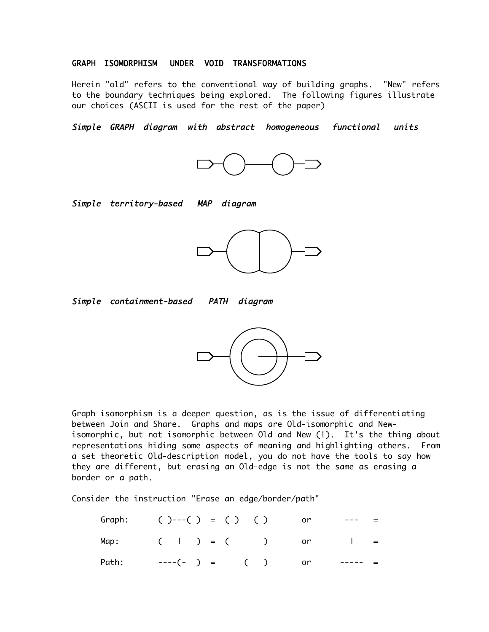### GRAPH ISOMORPHISM UNDER VOID TRANSFORMATIONS

Herein "old" refers to the conventional way of building graphs. "New" refers to the boundary techniques being explored. The following figures illustrate our choices (ASCII is used for the rest of the paper)

Simple GRAPH diagram with abstract homogeneous functional units



Simple territory-based MAP diagram



Simple containment-based PATH diagram



Graph isomorphism is a deeper question, as is the issue of differentiating between Join and Share. Graphs and maps are Old-isomorphic and Newisomorphic, but not isomorphic between Old and New (!). It's the thing about representations hiding some aspects of meaning and highlighting others. From a set theoretic Old-description model, you do not have the tools to say how they are different, but erasing an Old-edge is not the same as erasing a border or a path.

Consider the instruction "Erase an edge/border/path"

| Graph: $( )---( ) = ( )$ ( ) or |  |  |  |  |         |  |
|---------------------------------|--|--|--|--|---------|--|
| Map: $(   ) = ( )$ or $  =$     |  |  |  |  |         |  |
| Path: $---(-) =$ ( ) or         |  |  |  |  | _______ |  |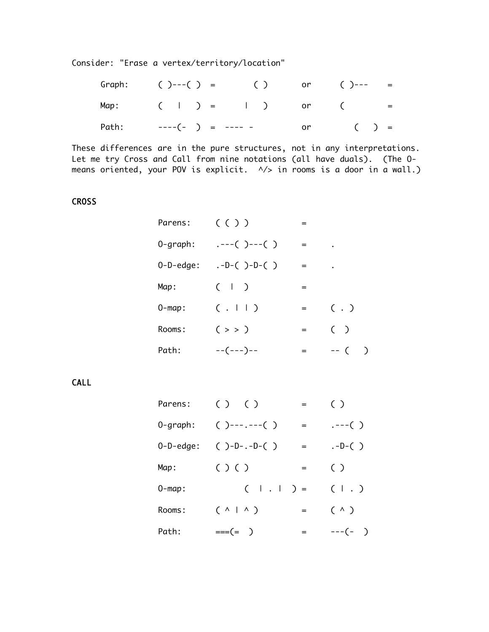Consider: "Erase a vertex/territory/location"

|  |  | Graph: $( )---( ) = ( )$ or $( )--- =$ |  |  |
|--|--|----------------------------------------|--|--|
|  |  | Map: $(   ) =   )$ or $($ =            |  |  |
|  |  | Path: ----(- ) = ---- - or ( ) =       |  |  |

These differences are in the pure structures, not in any interpretations. Let me try Cross and Call from nine notations (all have duals). (The Omeans oriented, your POV is explicit.  $\sqrt{2}$  in rooms is a door in a wall.)

## **CROSS**

| Parens:      | (() )             | =   |              |
|--------------|-------------------|-----|--------------|
| $0$ -graph:  | $---( )---( )$    | $=$ |              |
| $0-D$ -edge: | $.-D-() - D-() )$ | $=$ |              |
| Map:         | $(+)$             | $=$ |              |
| $0$ -map:    | (.     )          | $=$ | $( \cdot )$  |
| Rooms:       | $($ > > $)$       | $=$ | ( )          |
| Path:        | --(---)--         | =   | ∋<br>$- - ($ |

CALL

| Parens:      | ( ) ( )               | $=$ | $\left( \begin{array}{c} \end{array} \right)$ |
|--------------|-----------------------|-----|-----------------------------------------------|
| 0-graph:     | $( )---(-)$           | $=$ | $---( )$                                      |
| $0-D$ -edge: | $() - D - . - D - ()$ | $=$ | $. -D - ( )$                                  |
| Map:         | $( )$ $( )$           | $=$ | ( )                                           |
| $0$ -map:    | $(   .   ) =$         |     | $($ $\vert$ $)$                               |
| Rooms:       | $( \wedge   \wedge )$ | $=$ | $(\wedge)$                                    |
| Path:        | $== (= )$             | $=$ | $---(-)$                                      |